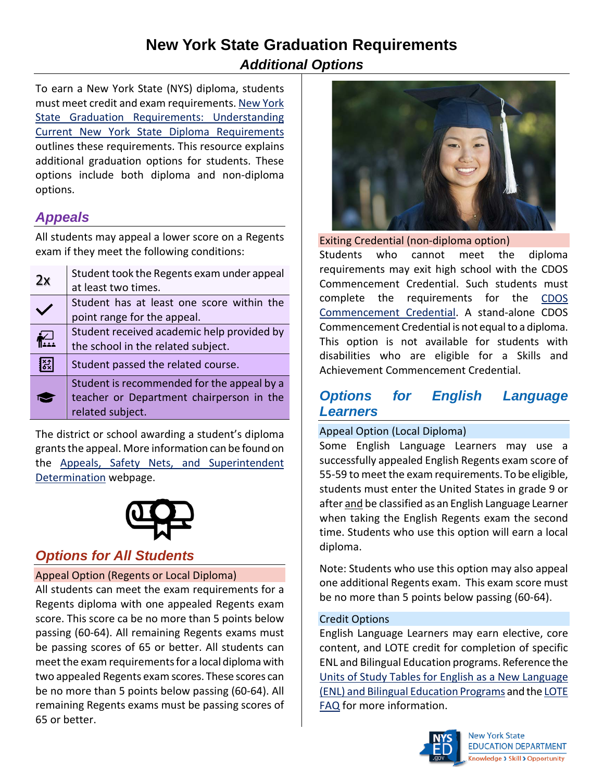# **New York State Graduation Requirements** *Additional Options*

To earn a New York State (NYS) diploma, students must meet credit and exam requirements. [New York](http://www.nysed.gov/common/nysed/files/programs/curriculum-instruction/dipreqflyer.pdf)  [State Graduation Requirements:](http://www.nysed.gov/common/nysed/files/programs/curriculum-instruction/dipreqflyer.pdf) Understanding [Current New York State Diploma Requirements](http://www.nysed.gov/common/nysed/files/programs/curriculum-instruction/dipreqflyer.pdf) outlines these requirements. This resource explains additional graduation options for students. These options include both diploma and non-diploma options.

# *Appeals*

All students may appeal a lower score on a Regents exam if they meet the following conditions:

| 2x | Student took the Regents exam under appeal<br>at least two times.                                          |
|----|------------------------------------------------------------------------------------------------------------|
|    | Student has at least one score within the<br>point range for the appeal.                                   |
|    | Student received academic help provided by<br>the school in the related subject.                           |
| ξŚ | Student passed the related course.                                                                         |
|    | Student is recommended for the appeal by a<br>teacher or Department chairperson in the<br>related subject. |

The district or school awarding a student's diploma grants the appeal. More information can be found on the [Appeals, Safety Nets, and Superintendent](http://www.nysed.gov/curriculum-instruction/appeals-safety-nets-and-superintendent-determination)  [Determination](http://www.nysed.gov/curriculum-instruction/appeals-safety-nets-and-superintendent-determination) webpage.



# *Options for All Students*

### Appeal Option (Regents or Local Diploma)

All students can meet the exam requirements for a Regents diploma with one appealed Regents exam score. This score ca be no more than 5 points below passing (60-64). All remaining Regents exams must be passing scores of 65 or better. All students can meet the exam requirements for a local diploma with two appealed Regents exam scores. These scores can be no more than 5 points below passing (60-64). All remaining Regents exams must be passing scores of 65 or better.



Exiting Credential (non-diploma option) Students who cannot meet the diploma requirements may exit high school with the CDOS Commencement Credential. Such students must complete the requirements for the [CDOS](http://www.nysed.gov/curriculum-instruction/exiting-credentials)  [Commencement Credential.](http://www.nysed.gov/curriculum-instruction/exiting-credentials) A stand-alone CDOS Commencement Credential is not equal to a diploma. This option is not available for students with disabilities who are eligible for a Skills and Achievement Commencement Credential.

## *Options for English Language Learners*

#### Appeal Option (Local Diploma)

Some English Language Learners may use a successfully appealed English Regents exam score of 55-59 to meet the exam requirements. To be eligible, students must enter the United States in grade 9 or after and be classified as an English Language Learner when taking the English Regents exam the second time. Students who use this option will earn a local diploma.

Note: Students who use this option may also appeal one additional Regents exam. This exam score must be no more than 5 points below passing (60-64).

#### Credit Options

English Language Learners may earn elective, core content, and LOTE credit for completion of specific ENL and Bilingual Education programs. Reference the [Units of Study Tables for English as a New Language](http://www.nysed.gov/bilingual-ed/units-study-tables-english-new-language-enl-and-bilingual-education-programs)  [\(ENL\) and Bilingual Education Programs](http://www.nysed.gov/bilingual-ed/units-study-tables-english-new-language-enl-and-bilingual-education-programs) and th[e LOTE](http://www.nysed.gov/common/nysed/files/programs/world-languages/lote-faq-11_1_18-a.pdf)  [FAQ](http://www.nysed.gov/common/nysed/files/programs/world-languages/lote-faq-11_1_18-a.pdf) for more information.